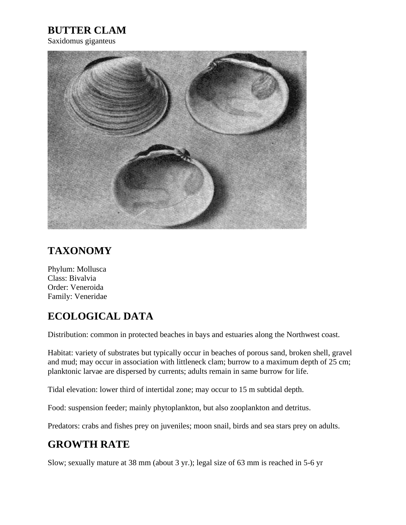## **BUTTER CLAM**

Saxidomus giganteus



## **TAXONOMY**

Phylum: Mollusca Class: Bivalvia Order: Veneroida Family: Veneridae

## **ECOLOGICAL DATA**

Distribution: common in protected beaches in bays and estuaries along the Northwest coast.

Habitat: variety of substrates but typically occur in beaches of porous sand, broken shell, gravel and mud; may occur in association with littleneck clam; burrow to a maximum depth of 25 cm; planktonic larvae are dispersed by currents; adults remain in same burrow for life.

Tidal elevation: lower third of intertidal zone; may occur to 15 m subtidal depth.

Food: suspension feeder; mainly phytoplankton, but also zooplankton and detritus.

Predators: crabs and fishes prey on juveniles; moon snail, birds and sea stars prey on adults.

## **GROWTH RATE**

Slow; sexually mature at 38 mm (about 3 yr.); legal size of 63 mm is reached in 5-6 yr